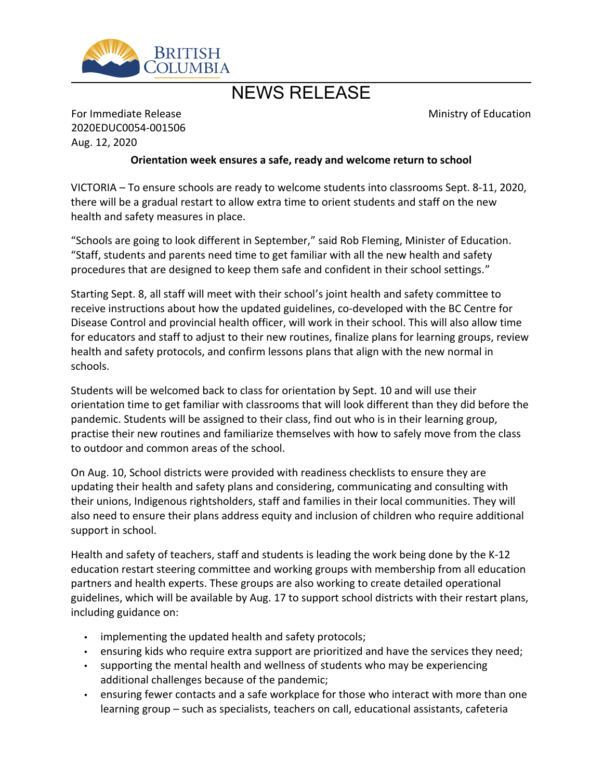

## NEWS RELEASE

Ministry of Education

For Immediate Release 2020EDUC0054-001506 Aug. 12, 2020

## **Orientation week ensures a safe, ready and welcome return to school**

VICTORIA – To ensure schools are ready to welcome students into classrooms Sept. 8-11, 2020, there will be a gradual restart to allow extra time to orient students and staff on the new health and safety measures in place.

"Schools are going to look different in September," said Rob Fleming, Minister of Education. ͞Staff, students and parents need time to get familiar with all the new health and safety procedures that are designed to keep them safe and confident in their school settings."

Starting Sept. 8, all staff will meet with their school's joint health and safety committee to receive instructions about how the updated guidelines, co-developed with the BC Centre for Disease Control and provincial health officer, will work in their school. This will also allow time for educators and staff to adjust to their new routines, finalize plans for learning groups, review health and safety protocols, and confirm lessons plans that align with the new normal in schools.

Students will be welcomed back to class for orientation by Sept. 10 and will use their orientation time to get familiar with classrooms that will look different than they did before the pandemic. Students will be assigned to their class, find out who is in their learning group, practise their new routines and familiarize themselves with how to safely move from the class to outdoor and common areas of the school.

On Aug. 10, School districts were provided with readiness checklists to ensure they are updating their health and safety plans and considering, communicating and consulting with their unions, Indigenous rightsholders, staff and families in their local communities. They will also need to ensure their plans address equity and inclusion of children who require additional support in school.

Health and safety of teachers, staff and students is leading the work being done by the K-12 education restart steering committee and working groups with membership from all education partners and health experts. These groups are also working to create detailed operational guidelines, which will be available by Aug. 17 to support school districts with their restart plans, including guidance on:

- implementing the updated health and safety protocols;
- ensuring kids who require extra support are prioritized and have the services they need;
- supporting the mental health and wellness of students who may be experiencing additional challenges because of the pandemic;
- ensuring fewer contacts and a safe workplace for those who interact with more than one learning group – such as specialists, teachers on call, educational assistants, cafeteria